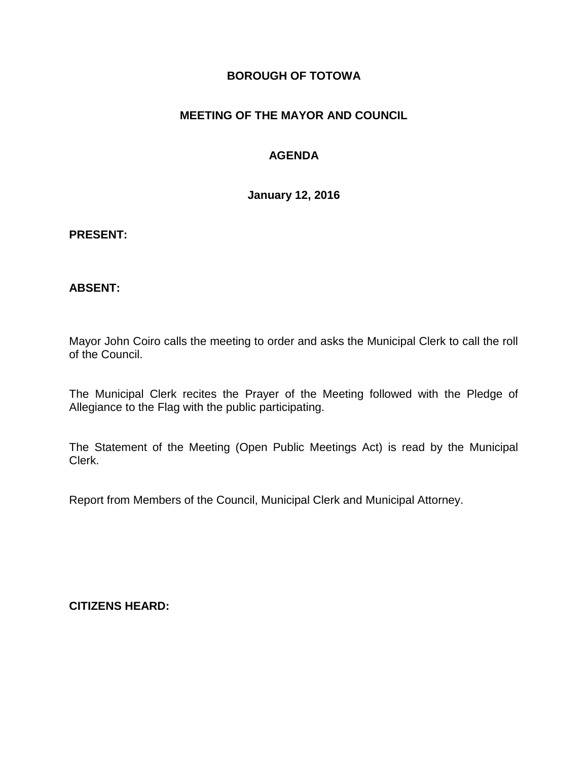### **BOROUGH OF TOTOWA**

### **MEETING OF THE MAYOR AND COUNCIL**

## **AGENDA**

**January 12, 2016**

#### **PRESENT:**

#### **ABSENT:**

Mayor John Coiro calls the meeting to order and asks the Municipal Clerk to call the roll of the Council.

The Municipal Clerk recites the Prayer of the Meeting followed with the Pledge of Allegiance to the Flag with the public participating.

The Statement of the Meeting (Open Public Meetings Act) is read by the Municipal Clerk.

Report from Members of the Council, Municipal Clerk and Municipal Attorney.

**CITIZENS HEARD:**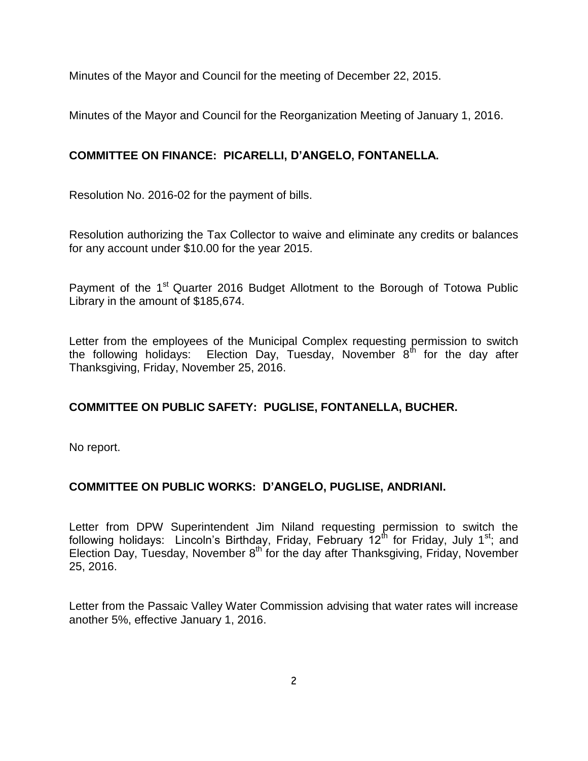Minutes of the Mayor and Council for the meeting of December 22, 2015.

Minutes of the Mayor and Council for the Reorganization Meeting of January 1, 2016.

# **COMMITTEE ON FINANCE: PICARELLI, D'ANGELO, FONTANELLA.**

Resolution No. 2016-02 for the payment of bills.

Resolution authorizing the Tax Collector to waive and eliminate any credits or balances for any account under \$10.00 for the year 2015.

Payment of the 1<sup>st</sup> Quarter 2016 Budget Allotment to the Borough of Totowa Public Library in the amount of \$185,674.

Letter from the employees of the Municipal Complex requesting permission to switch the following holidays: Election Day, Tuesday, November  $8<sup>th</sup>$  for the day after Thanksgiving, Friday, November 25, 2016.

## **COMMITTEE ON PUBLIC SAFETY: PUGLISE, FONTANELLA, BUCHER.**

No report.

## **COMMITTEE ON PUBLIC WORKS: D'ANGELO, PUGLISE, ANDRIANI.**

Letter from DPW Superintendent Jim Niland requesting permission to switch the following holidays: Lincoln's Birthday, Friday, February  $12<sup>th</sup>$  for Friday, July 1<sup>st</sup>; and Election Day, Tuesday, November 8<sup>th</sup> for the day after Thanksgiving, Friday, November 25, 2016.

Letter from the Passaic Valley Water Commission advising that water rates will increase another 5%, effective January 1, 2016.